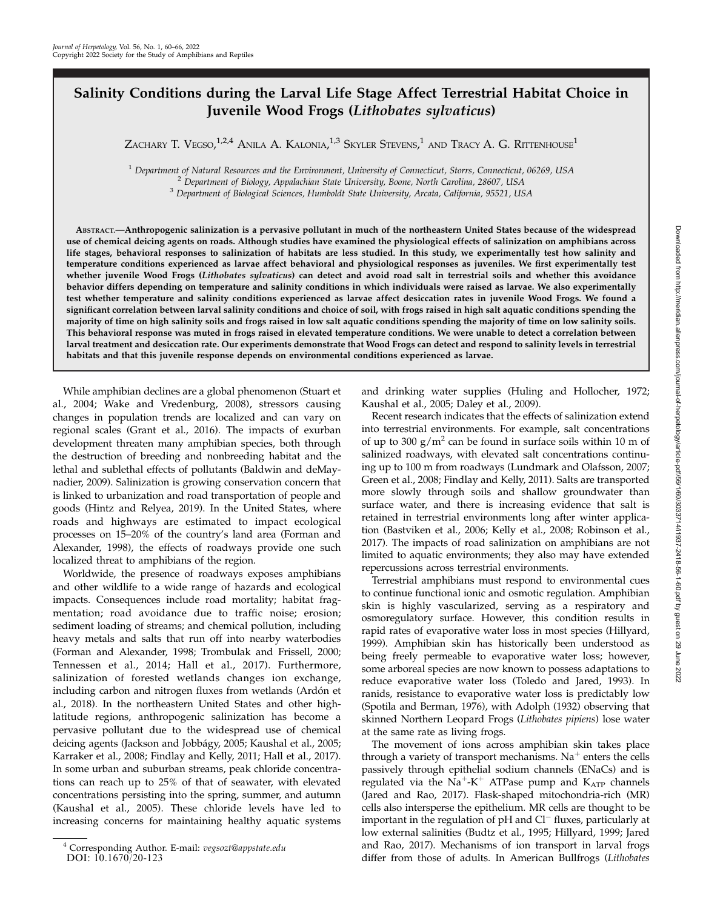# Salinity Conditions during the Larval Life Stage Affect Terrestrial Habitat Choice in Juvenile Wood Frogs (Lithobates sylvaticus)

Zachary T. Vegso, $^{1,2,4}$  Anila A. Kalonia, $^{1,3}$  Skyler Stevens, $^{1}$  and Tracy A. G. Rittenhouse $^{1}$ 

<sup>1</sup> Department of Natural Resources and the Environment, University of Connecticut, Storrs, Connecticut, 06269, USA<br><sup>2</sup> Department of Biology, Appalachian State University, Boone, North Carolina, 28607, USA<br><sup>3</sup> Department

ABSTRACT.—Anthropogenic salinization is a pervasive pollutant in much of the northeastern United States because of the widespread use of chemical deicing agents on roads. Although studies have examined the physiological effects of salinization on amphibians across life stages, behavioral responses to salinization of habitats are less studied. In this study, we experimentally test how salinity and temperature conditions experienced as larvae affect behavioral and physiological responses as juveniles. We first experimentally test whether juvenile Wood Frogs (Lithobates sylvaticus) can detect and avoid road salt in terrestrial soils and whether this avoidance behavior differs depending on temperature and salinity conditions in which individuals were raised as larvae. We also experimentally test whether temperature and salinity conditions experienced as larvae affect desiccation rates in juvenile Wood Frogs. We found a significant correlation between larval salinity conditions and choice of soil, with frogs raised in high salt aquatic conditions spending the majority of time on high salinity soils and frogs raised in low salt aquatic conditions spending the majority of time on low salinity soils. This behavioral response was muted in frogs raised in elevated temperature conditions. We were unable to detect a correlation between larval treatment and desiccation rate. Our experiments demonstrate that Wood Frogs can detect and respond to salinity levels in terrestrial habitats and that this juvenile response depends on environmental conditions experienced as larvae.

While amphibian declines are a global phenomenon (Stuart et al., 2004; Wake and Vredenburg, 2008), stressors causing changes in population trends are localized and can vary on regional scales (Grant et al., 2016). The impacts of exurban development threaten many amphibian species, both through the destruction of breeding and nonbreeding habitat and the lethal and sublethal effects of pollutants (Baldwin and deMaynadier, 2009). Salinization is growing conservation concern that is linked to urbanization and road transportation of people and goods (Hintz and Relyea, 2019). In the United States, where roads and highways are estimated to impact ecological processes on 15–20% of the country's land area (Forman and Alexander, 1998), the effects of roadways provide one such localized threat to amphibians of the region.

Worldwide, the presence of roadways exposes amphibians and other wildlife to a wide range of hazards and ecological impacts. Consequences include road mortality; habitat fragmentation; road avoidance due to traffic noise; erosion; sediment loading of streams; and chemical pollution, including heavy metals and salts that run off into nearby waterbodies (Forman and Alexander, 1998; Trombulak and Frissell, 2000; Tennessen et al., 2014; Hall et al., 2017). Furthermore, salinization of forested wetlands changes ion exchange, including carbon and nitrogen fluxes from wetlands (Ardón et al., 2018). In the northeastern United States and other highlatitude regions, anthropogenic salinization has become a pervasive pollutant due to the widespread use of chemical deicing agents (Jackson and Jobbágy, 2005; Kaushal et al., 2005; Karraker et al., 2008; Findlay and Kelly, 2011; Hall et al., 2017). In some urban and suburban streams, peak chloride concentrations can reach up to 25% of that of seawater, with elevated concentrations persisting into the spring, summer, and autumn (Kaushal et al., 2005). These chloride levels have led to increasing concerns for maintaining healthy aquatic systems

and drinking water supplies (Huling and Hollocher, 1972; Kaushal et al., 2005; Daley et al., 2009).

Recent research indicates that the effects of salinization extend into terrestrial environments. For example, salt concentrations of up to 300  $g/m^2$  can be found in surface soils within 10 m of salinized roadways, with elevated salt concentrations continuing up to 100 m from roadways (Lundmark and Olafsson, 2007; Green et al., 2008; Findlay and Kelly, 2011). Salts are transported more slowly through soils and shallow groundwater than surface water, and there is increasing evidence that salt is retained in terrestrial environments long after winter application (Bastviken et al., 2006; Kelly et al., 2008; Robinson et al., 2017). The impacts of road salinization on amphibians are not limited to aquatic environments; they also may have extended repercussions across terrestrial environments.

Terrestrial amphibians must respond to environmental cues to continue functional ionic and osmotic regulation. Amphibian skin is highly vascularized, serving as a respiratory and osmoregulatory surface. However, this condition results in rapid rates of evaporative water loss in most species (Hillyard, 1999). Amphibian skin has historically been understood as being freely permeable to evaporative water loss; however, some arboreal species are now known to possess adaptations to reduce evaporative water loss (Toledo and Jared, 1993). In ranids, resistance to evaporative water loss is predictably low (Spotila and Berman, 1976), with Adolph (1932) observing that skinned Northern Leopard Frogs (Lithobates pipiens) lose water at the same rate as living frogs.

The movement of ions across amphibian skin takes place through a variety of transport mechanisms.  $Na<sup>+</sup>$  enters the cells passively through epithelial sodium channels (ENaCs) and is regulated via the  $Na^+K^+$  ATPase pump and  $K_{ATP}$  channels (Jared and Rao, 2017). Flask-shaped mitochondria-rich (MR) cells also intersperse the epithelium. MR cells are thought to be important in the regulation of  $pH$  and  $Cl^-$  fluxes, particularly at low external salinities (Budtz et al., 1995; Hillyard, 1999; Jared and Rao, 2017). Mechanisms of ion transport in larval frogs differ from those of adults. In American Bullfrogs (Lithobates

<sup>4</sup> Corresponding Author. E-mail: vegsozt@appstate.edu DOI: 10.1670/20-123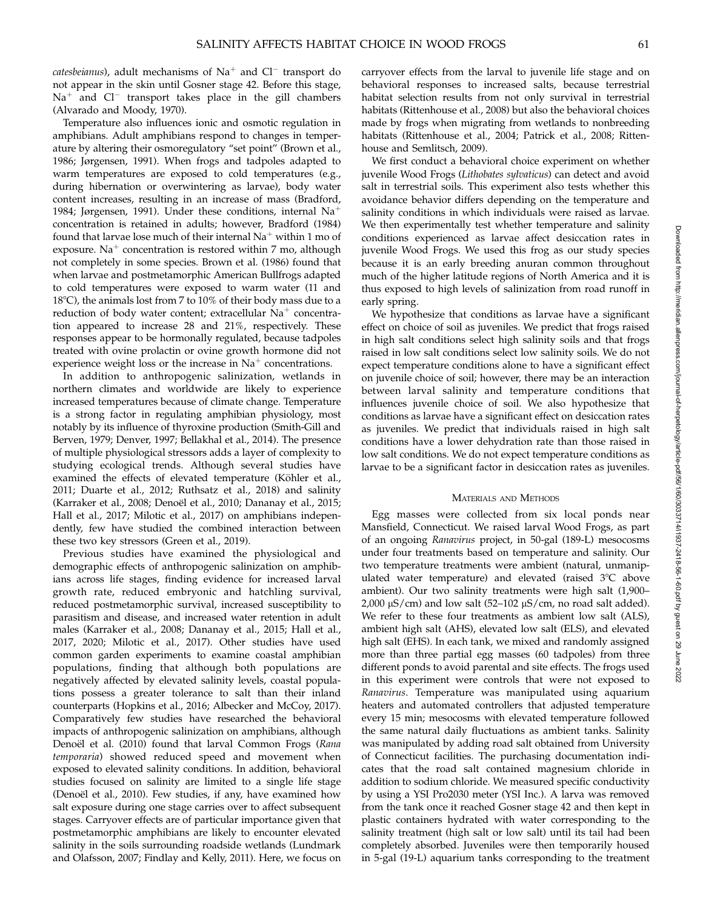catesbeianus), adult mechanisms of  $Na<sup>+</sup>$  and  $Cl<sup>-</sup>$  transport do not appear in the skin until Gosner stage 42. Before this stage,  $Na<sup>+</sup>$  and  $Cl<sup>-</sup>$  transport takes place in the gill chambers (Alvarado and Moody, 1970).

Temperature also influences ionic and osmotic regulation in amphibians. Adult amphibians respond to changes in temperature by altering their osmoregulatory "set point" (Brown et al., 1986; Jørgensen, 1991). When frogs and tadpoles adapted to warm temperatures are exposed to cold temperatures (e.g., during hibernation or overwintering as larvae), body water content increases, resulting in an increase of mass (Bradford, 1984; Jørgensen, 1991). Under these conditions, internal  $Na<sup>+</sup>$ concentration is retained in adults; however, Bradford (1984) found that larvae lose much of their internal  $Na<sup>+</sup>$  within 1 mo of exposure. Na<sup>+</sup> concentration is restored within  $7 \text{ mo}$ , although not completely in some species. Brown et al. (1986) found that when larvae and postmetamorphic American Bullfrogs adapted to cold temperatures were exposed to warm water (11 and 18 $^{\circ}$ C), the animals lost from 7 to 10% of their body mass due to a reduction of body water content; extracellular  $Na<sup>+</sup>$  concentration appeared to increase 28 and 21%, respectively. These responses appear to be hormonally regulated, because tadpoles treated with ovine prolactin or ovine growth hormone did not experience weight loss or the increase in  $Na<sup>+</sup>$  concentrations.

In addition to anthropogenic salinization, wetlands in northern climates and worldwide are likely to experience increased temperatures because of climate change. Temperature is a strong factor in regulating amphibian physiology, most notably by its influence of thyroxine production (Smith-Gill and Berven, 1979; Denver, 1997; Bellakhal et al., 2014). The presence of multiple physiological stressors adds a layer of complexity to studying ecological trends. Although several studies have examined the effects of elevated temperature (Köhler et al., 2011; Duarte et al., 2012; Ruthsatz et al., 2018) and salinity (Karraker et al., 2008; Denoël et al., 2010; Dananay et al., 2015; Hall et al., 2017; Milotic et al., 2017) on amphibians independently, few have studied the combined interaction between these two key stressors (Green et al., 2019).

Previous studies have examined the physiological and demographic effects of anthropogenic salinization on amphibians across life stages, finding evidence for increased larval growth rate, reduced embryonic and hatchling survival, reduced postmetamorphic survival, increased susceptibility to parasitism and disease, and increased water retention in adult males (Karraker et al., 2008; Dananay et al., 2015; Hall et al., 2017, 2020; Milotic et al., 2017). Other studies have used common garden experiments to examine coastal amphibian populations, finding that although both populations are negatively affected by elevated salinity levels, coastal populations possess a greater tolerance to salt than their inland counterparts (Hopkins et al., 2016; Albecker and McCoy, 2017). Comparatively few studies have researched the behavioral impacts of anthropogenic salinization on amphibians, although Denoël et al. (2010) found that larval Common Frogs (Rana temporaria) showed reduced speed and movement when exposed to elevated salinity conditions. In addition, behavioral studies focused on salinity are limited to a single life stage (Denoël et al., 2010). Few studies, if any, have examined how salt exposure during one stage carries over to affect subsequent stages. Carryover effects are of particular importance given that postmetamorphic amphibians are likely to encounter elevated salinity in the soils surrounding roadside wetlands (Lundmark and Olafsson, 2007; Findlay and Kelly, 2011). Here, we focus on

carryover effects from the larval to juvenile life stage and on behavioral responses to increased salts, because terrestrial habitat selection results from not only survival in terrestrial habitats (Rittenhouse et al., 2008) but also the behavioral choices made by frogs when migrating from wetlands to nonbreeding habitats (Rittenhouse et al., 2004; Patrick et al., 2008; Rittenhouse and Semlitsch, 2009).

We first conduct a behavioral choice experiment on whether juvenile Wood Frogs (Lithobates sylvaticus) can detect and avoid salt in terrestrial soils. This experiment also tests whether this avoidance behavior differs depending on the temperature and salinity conditions in which individuals were raised as larvae. We then experimentally test whether temperature and salinity conditions experienced as larvae affect desiccation rates in juvenile Wood Frogs. We used this frog as our study species because it is an early breeding anuran common throughout much of the higher latitude regions of North America and it is thus exposed to high levels of salinization from road runoff in early spring.

We hypothesize that conditions as larvae have a significant effect on choice of soil as juveniles. We predict that frogs raised in high salt conditions select high salinity soils and that frogs raised in low salt conditions select low salinity soils. We do not expect temperature conditions alone to have a significant effect on juvenile choice of soil; however, there may be an interaction between larval salinity and temperature conditions that influences juvenile choice of soil. We also hypothesize that conditions as larvae have a significant effect on desiccation rates as juveniles. We predict that individuals raised in high salt conditions have a lower dehydration rate than those raised in low salt conditions. We do not expect temperature conditions as larvae to be a significant factor in desiccation rates as juveniles.

## MATERIALS AND METHODS

Egg masses were collected from six local ponds near Mansfield, Connecticut. We raised larval Wood Frogs, as part of an ongoing Ranavirus project, in 50-gal (189-L) mesocosms under four treatments based on temperature and salinity. Our two temperature treatments were ambient (natural, unmanipulated water temperature) and elevated (raised  $3^{\circ}$ C above ambient). Our two salinity treatments were high salt (1,900–  $2,000 \mu\text{S/cm}$ ) and low salt (52–102  $\mu\text{S/cm}$ , no road salt added). We refer to these four treatments as ambient low salt (ALS), ambient high salt (AHS), elevated low salt (ELS), and elevated high salt (EHS). In each tank, we mixed and randomly assigned more than three partial egg masses (60 tadpoles) from three different ponds to avoid parental and site effects. The frogs used in this experiment were controls that were not exposed to Ranavirus. Temperature was manipulated using aquarium heaters and automated controllers that adjusted temperature every 15 min; mesocosms with elevated temperature followed the same natural daily fluctuations as ambient tanks. Salinity was manipulated by adding road salt obtained from University of Connecticut facilities. The purchasing documentation indicates that the road salt contained magnesium chloride in addition to sodium chloride. We measured specific conductivity by using a YSI Pro2030 meter (YSI Inc.). A larva was removed from the tank once it reached Gosner stage 42 and then kept in plastic containers hydrated with water corresponding to the salinity treatment (high salt or low salt) until its tail had been completely absorbed. Juveniles were then temporarily housed in 5-gal (19-L) aquarium tanks corresponding to the treatment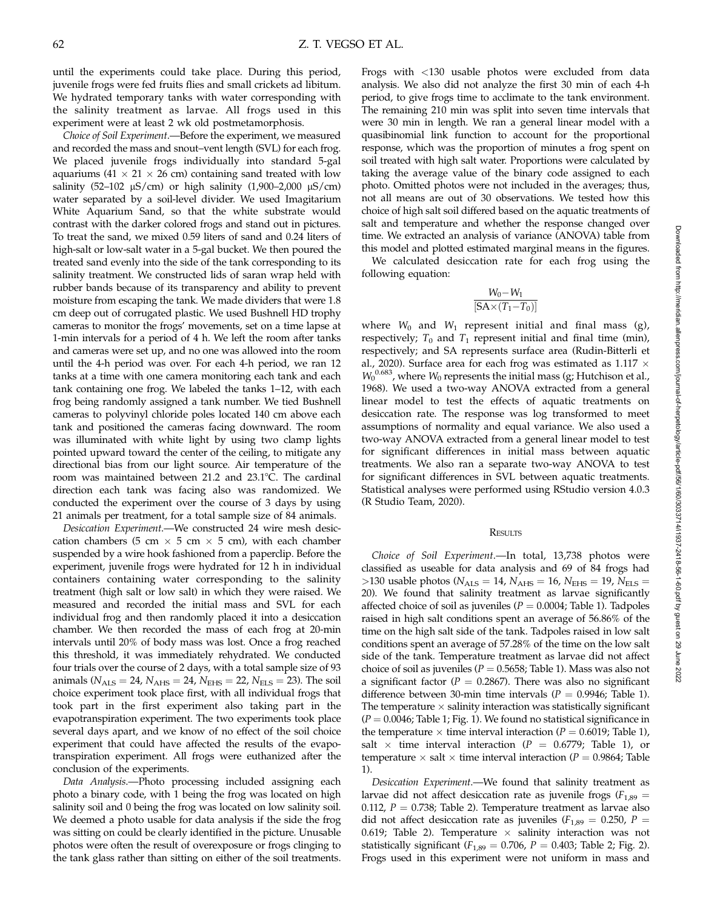until the experiments could take place. During this period, juvenile frogs were fed fruits flies and small crickets ad libitum. We hydrated temporary tanks with water corresponding with the salinity treatment as larvae. All frogs used in this experiment were at least 2 wk old postmetamorphosis.

Choice of Soil Experiment.—Before the experiment, we measured and recorded the mass and snout–vent length (SVL) for each frog. We placed juvenile frogs individually into standard 5-gal aquariums (41  $\times$  21  $\times$  26 cm) containing sand treated with low salinity (52-102  $\mu$ S/cm) or high salinity (1,900-2,000  $\mu$ S/cm) water separated by a soil-level divider. We used Imagitarium White Aquarium Sand, so that the white substrate would contrast with the darker colored frogs and stand out in pictures. To treat the sand, we mixed 0.59 liters of sand and 0.24 liters of high-salt or low-salt water in a 5-gal bucket. We then poured the treated sand evenly into the side of the tank corresponding to its salinity treatment. We constructed lids of saran wrap held with rubber bands because of its transparency and ability to prevent moisture from escaping the tank. We made dividers that were 1.8 cm deep out of corrugated plastic. We used Bushnell HD trophy cameras to monitor the frogs' movements, set on a time lapse at 1-min intervals for a period of 4 h. We left the room after tanks and cameras were set up, and no one was allowed into the room until the 4-h period was over. For each 4-h period, we ran 12 tanks at a time with one camera monitoring each tank and each tank containing one frog. We labeled the tanks 1–12, with each frog being randomly assigned a tank number. We tied Bushnell cameras to polyvinyl chloride poles located 140 cm above each tank and positioned the cameras facing downward. The room was illuminated with white light by using two clamp lights pointed upward toward the center of the ceiling, to mitigate any directional bias from our light source. Air temperature of the room was maintained between 21.2 and 23.1°C. The cardinal direction each tank was facing also was randomized. We conducted the experiment over the course of 3 days by using 21 animals per treatment, for a total sample size of 84 animals.

Desiccation Experiment.—We constructed 24 wire mesh desiccation chambers (5 cm  $\times$  5 cm  $\times$  5 cm), with each chamber suspended by a wire hook fashioned from a paperclip. Before the experiment, juvenile frogs were hydrated for 12 h in individual containers containing water corresponding to the salinity treatment (high salt or low salt) in which they were raised. We measured and recorded the initial mass and SVL for each individual frog and then randomly placed it into a desiccation chamber. We then recorded the mass of each frog at 20-min intervals until 20% of body mass was lost. Once a frog reached this threshold, it was immediately rehydrated. We conducted four trials over the course of 2 days, with a total sample size of 93 animals ( $N_{\text{ALS}} = 24$ ,  $N_{\text{AHS}} = 24$ ,  $N_{\text{EHS}} = 22$ ,  $N_{\text{ELS}} = 23$ ). The soil choice experiment took place first, with all individual frogs that took part in the first experiment also taking part in the evapotranspiration experiment. The two experiments took place several days apart, and we know of no effect of the soil choice experiment that could have affected the results of the evapotranspiration experiment. All frogs were euthanized after the conclusion of the experiments.

Data Analysis.—Photo processing included assigning each photo a binary code, with 1 being the frog was located on high salinity soil and 0 being the frog was located on low salinity soil. We deemed a photo usable for data analysis if the side the frog was sitting on could be clearly identified in the picture. Unusable photos were often the result of overexposure or frogs clinging to the tank glass rather than sitting on either of the soil treatments.

Frogs with <130 usable photos were excluded from data analysis. We also did not analyze the first 30 min of each 4-h period, to give frogs time to acclimate to the tank environment. The remaining 210 min was split into seven time intervals that were 30 min in length. We ran a general linear model with a quasibinomial link function to account for the proportional response, which was the proportion of minutes a frog spent on soil treated with high salt water. Proportions were calculated by taking the average value of the binary code assigned to each photo. Omitted photos were not included in the averages; thus, not all means are out of 30 observations. We tested how this choice of high salt soil differed based on the aquatic treatments of salt and temperature and whether the response changed over time. We extracted an analysis of variance (ANOVA) table from this model and plotted estimated marginal means in the figures.

We calculated desiccation rate for each frog using the following equation:

$$
\frac{W_0-W_1}{[SA \times (T_1-T_0)]}
$$

where  $W_0$  and  $W_1$  represent initial and final mass (g), respectively;  $T_0$  and  $T_1$  represent initial and final time (min), respectively; and SA represents surface area (Rudin-Bitterli et al., 2020). Surface area for each frog was estimated as 1.117  $\times$  $W_0^{0.683}$ , where  $W_0$  represents the initial mass (g; Hutchison et al., 1968). We used a two-way ANOVA extracted from a general linear model to test the effects of aquatic treatments on desiccation rate. The response was log transformed to meet assumptions of normality and equal variance. We also used a two-way ANOVA extracted from a general linear model to test for significant differences in initial mass between aquatic treatments. We also ran a separate two-way ANOVA to test for significant differences in SVL between aquatic treatments. Statistical analyses were performed using RStudio version 4.0.3 (R Studio Team, 2020).

#### **RESULTS**

Choice of Soil Experiment.—In total, 13,738 photos were classified as useable for data analysis and 69 of 84 frogs had >130 usable photos ( $N_{\text{ALS}} = 14$ ,  $N_{\text{AHS}} = 16$ ,  $N_{\text{EHS}} = 19$ ,  $N_{\text{ELS}} =$ 20). We found that salinity treatment as larvae significantly affected choice of soil as juveniles ( $P = 0.0004$ ; Table 1). Tadpoles raised in high salt conditions spent an average of 56.86% of the time on the high salt side of the tank. Tadpoles raised in low salt conditions spent an average of 57.28% of the time on the low salt side of the tank. Temperature treatment as larvae did not affect choice of soil as juveniles ( $P = 0.5658$ ; Table 1). Mass was also not a significant factor ( $P = 0.2867$ ). There was also no significant difference between 30-min time intervals ( $P = 0.9946$ ; Table 1). The temperature  $\times$  salinity interaction was statistically significant  $(P = 0.0046$ ; Table 1; Fig. 1). We found no statistical significance in the temperature  $\times$  time interval interaction ( $P = 0.6019$ ; Table 1), salt  $\times$  time interval interaction ( $P = 0.6779$ ; Table 1), or temperature  $\times$  salt  $\times$  time interval interaction ( $P = 0.9864$ ; Table 1).

Desiccation Experiment.—We found that salinity treatment as larvae did not affect desiccation rate as juvenile frogs ( $F_{1,89}$  = 0.112,  $P = 0.738$ ; Table 2). Temperature treatment as larvae also did not affect desiccation rate as juveniles ( $F_{1,89} = 0.250$ ,  $P =$ 0.619; Table 2). Temperature  $\times$  salinity interaction was not statistically significant ( $F_{1,89} = 0.706$ ,  $P = 0.403$ ; Table 2; Fig. 2). Frogs used in this experiment were not uniform in mass and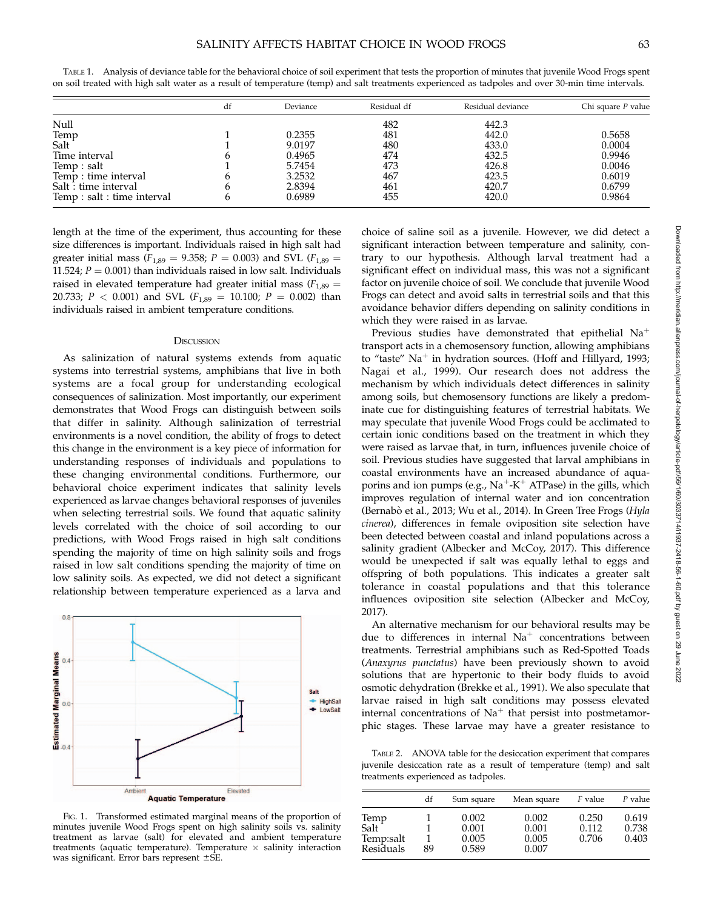|                             | df | Deviance | Residual df | Residual deviance | Chi square $P$ value |
|-----------------------------|----|----------|-------------|-------------------|----------------------|
| Null                        |    |          | 482         | 442.3             |                      |
|                             |    | 0.2355   | 481         | 442.0             | 0.5658               |
| Temp<br>Salt                |    | 9.0197   | 480         | 433.0             | 0.0004               |
| Time interval               |    | 0.4965   | 474         | 432.5             | 0.9946               |
| Temp : salt                 |    | 5.7454   | 473         | 426.8             | 0.0046               |
| Temp : time interval        |    | 3.2532   | 467         | 423.5             | 0.6019               |
| Salt: time interval         |    | 2.8394   | 461         | 420.7             | 0.6799               |
| Temp : salt : time interval |    | 0.6989   | 455         | 420.0             | 0.9864               |
|                             |    |          |             |                   |                      |

TABLE 1. Analysis of deviance table for the behavioral choice of soil experiment that tests the proportion of minutes that juvenile Wood Frogs spent on soil treated with high salt water as a result of temperature (temp) and salt treatments experienced as tadpoles and over 30-min time intervals.

length at the time of the experiment, thus accounting for these size differences is important. Individuals raised in high salt had greater initial mass ( $F_{1,89} = 9.358$ ;  $P = 0.003$ ) and SVL ( $F_{1,89} =$ 11.524;  $P = 0.001$ ) than individuals raised in low salt. Individuals raised in elevated temperature had greater initial mass ( $F_{1,89}$  = 20.733;  $P < 0.001$ ) and SVL ( $F_{1,89} = 10.100$ ;  $P = 0.002$ ) than individuals raised in ambient temperature conditions.

#### **DISCUSSION**

As salinization of natural systems extends from aquatic systems into terrestrial systems, amphibians that live in both systems are a focal group for understanding ecological consequences of salinization. Most importantly, our experiment demonstrates that Wood Frogs can distinguish between soils that differ in salinity. Although salinization of terrestrial environments is a novel condition, the ability of frogs to detect this change in the environment is a key piece of information for understanding responses of individuals and populations to these changing environmental conditions. Furthermore, our behavioral choice experiment indicates that salinity levels experienced as larvae changes behavioral responses of juveniles when selecting terrestrial soils. We found that aquatic salinity levels correlated with the choice of soil according to our predictions, with Wood Frogs raised in high salt conditions spending the majority of time on high salinity soils and frogs raised in low salt conditions spending the majority of time on low salinity soils. As expected, we did not detect a significant relationship between temperature experienced as a larva and



FIG. 1. Transformed estimated marginal means of the proportion of minutes juvenile Wood Frogs spent on high salinity soils vs. salinity treatment as larvae (salt) for elevated and ambient temperature treatments (aquatic temperature). Temperature  $\times$  salinity interaction was significant. Error bars represent  $\pm$ SE.

choice of saline soil as a juvenile. However, we did detect a significant interaction between temperature and salinity, contrary to our hypothesis. Although larval treatment had a significant effect on individual mass, this was not a significant factor on juvenile choice of soil. We conclude that juvenile Wood Frogs can detect and avoid salts in terrestrial soils and that this avoidance behavior differs depending on salinity conditions in which they were raised in as larvae.

Previous studies have demonstrated that epithelial  $Na<sup>+</sup>$ transport acts in a chemosensory function, allowing amphibians to "taste"  $Na<sup>+</sup>$  in hydration sources. (Hoff and Hillyard, 1993; Nagai et al., 1999). Our research does not address the mechanism by which individuals detect differences in salinity among soils, but chemosensory functions are likely a predominate cue for distinguishing features of terrestrial habitats. We may speculate that juvenile Wood Frogs could be acclimated to certain ionic conditions based on the treatment in which they were raised as larvae that, in turn, influences juvenile choice of soil. Previous studies have suggested that larval amphibians in coastal environments have an increased abundance of aquaporins and ion pumps (e.g.,  $Na^+K^+$  ATPase) in the gills, which improves regulation of internal water and ion concentration (Bernabò et al., 2013; Wu et al., 2014). In Green Tree Frogs (Hyla cinerea), differences in female oviposition site selection have been detected between coastal and inland populations across a salinity gradient (Albecker and McCoy, 2017). This difference would be unexpected if salt was equally lethal to eggs and offspring of both populations. This indicates a greater salt tolerance in coastal populations and that this tolerance influences oviposition site selection (Albecker and McCoy, 2017).

An alternative mechanism for our behavioral results may be due to differences in internal  $Na<sup>+</sup>$  concentrations between treatments. Terrestrial amphibians such as Red-Spotted Toads (Anaxyrus punctatus) have been previously shown to avoid solutions that are hypertonic to their body fluids to avoid osmotic dehydration (Brekke et al., 1991). We also speculate that larvae raised in high salt conditions may possess elevated internal concentrations of  $Na<sup>+</sup>$  that persist into postmetamorphic stages. These larvae may have a greater resistance to

TABLE 2. ANOVA table for the desiccation experiment that compares juvenile desiccation rate as a result of temperature (temp) and salt treatments experienced as tadpoles.

|                                        | df | Sum square                       | Mean square                      | F value                 | P value                 |
|----------------------------------------|----|----------------------------------|----------------------------------|-------------------------|-------------------------|
| Temp<br>Salt<br>Temp:salt<br>Residuals | 89 | 0.002<br>0.001<br>0.005<br>0.589 | 0.002<br>0.001<br>0.005<br>0.007 | 0.250<br>0.112<br>0.706 | 0.619<br>0.738<br>0.403 |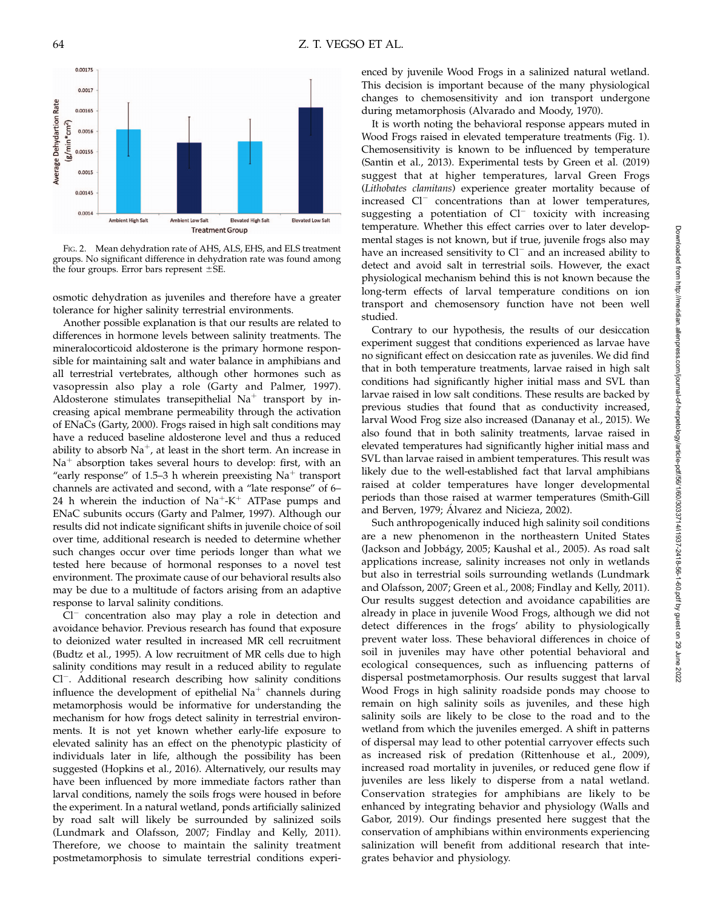

FIG. 2. Mean dehydration rate of AHS, ALS, EHS, and ELS treatment groups. No significant difference in dehydration rate was found among the four groups. Error bars represent  $\pm$ SE.

osmotic dehydration as juveniles and therefore have a greater tolerance for higher salinity terrestrial environments.

Another possible explanation is that our results are related to differences in hormone levels between salinity treatments. The mineralocorticoid aldosterone is the primary hormone responsible for maintaining salt and water balance in amphibians and all terrestrial vertebrates, although other hormones such as vasopressin also play a role (Garty and Palmer, 1997). Aldosterone stimulates transepithelial  $Na<sup>+</sup>$  transport by increasing apical membrane permeability through the activation of ENaCs (Garty, 2000). Frogs raised in high salt conditions may have a reduced baseline aldosterone level and thus a reduced ability to absorb  $Na^+$ , at least in the short term. An increase in  $Na<sup>+</sup>$  absorption takes several hours to develop: first, with an "early response" of 1.5–3 h wherein preexisting  $Na<sup>+</sup>$  transport channels are activated and second, with a ''late response'' of 6– 24 h wherein the induction of  $Na^+ - K^+$  ATPase pumps and ENaC subunits occurs (Garty and Palmer, 1997). Although our results did not indicate significant shifts in juvenile choice of soil over time, additional research is needed to determine whether such changes occur over time periods longer than what we tested here because of hormonal responses to a novel test environment. The proximate cause of our behavioral results also may be due to a multitude of factors arising from an adaptive response to larval salinity conditions.

 $Cl^-$  concentration also may play a role in detection and avoidance behavior. Previous research has found that exposure to deionized water resulted in increased MR cell recruitment (Budtz et al., 1995). A low recruitment of MR cells due to high salinity conditions may result in a reduced ability to regulate Cl<sup>-</sup>. Additional research describing how salinity conditions influence the development of epithelial  $Na<sup>+</sup>$  channels during metamorphosis would be informative for understanding the mechanism for how frogs detect salinity in terrestrial environments. It is not yet known whether early-life exposure to elevated salinity has an effect on the phenotypic plasticity of individuals later in life, although the possibility has been suggested (Hopkins et al., 2016). Alternatively, our results may have been influenced by more immediate factors rather than larval conditions, namely the soils frogs were housed in before the experiment. In a natural wetland, ponds artificially salinized by road salt will likely be surrounded by salinized soils (Lundmark and Olafsson, 2007; Findlay and Kelly, 2011). Therefore, we choose to maintain the salinity treatment postmetamorphosis to simulate terrestrial conditions experienced by juvenile Wood Frogs in a salinized natural wetland. This decision is important because of the many physiological changes to chemosensitivity and ion transport undergone during metamorphosis (Alvarado and Moody, 1970).

It is worth noting the behavioral response appears muted in Wood Frogs raised in elevated temperature treatments (Fig. 1). Chemosensitivity is known to be influenced by temperature (Santin et al., 2013). Experimental tests by Green et al. (2019) suggest that at higher temperatures, larval Green Frogs (Lithobates clamitans) experience greater mortality because of increased  $Cl^-$  concentrations than at lower temperatures, suggesting a potentiation of  $Cl^-$  toxicity with increasing temperature. Whether this effect carries over to later developmental stages is not known, but if true, juvenile frogs also may have an increased sensitivity to  $Cl^-$  and an increased ability to detect and avoid salt in terrestrial soils. However, the exact physiological mechanism behind this is not known because the long-term effects of larval temperature conditions on ion transport and chemosensory function have not been well studied.

Contrary to our hypothesis, the results of our desiccation experiment suggest that conditions experienced as larvae have no significant effect on desiccation rate as juveniles. We did find that in both temperature treatments, larvae raised in high salt conditions had significantly higher initial mass and SVL than larvae raised in low salt conditions. These results are backed by previous studies that found that as conductivity increased, larval Wood Frog size also increased (Dananay et al., 2015). We also found that in both salinity treatments, larvae raised in elevated temperatures had significantly higher initial mass and SVL than larvae raised in ambient temperatures. This result was likely due to the well-established fact that larval amphibians raised at colder temperatures have longer developmental periods than those raised at warmer temperatures (Smith-Gill and Berven, 1979; Álvarez and Nicieza, 2002).

Such anthropogenically induced high salinity soil conditions are a new phenomenon in the northeastern United States (Jackson and Jobbágy, 2005; Kaushal et al., 2005). As road salt applications increase, salinity increases not only in wetlands but also in terrestrial soils surrounding wetlands (Lundmark and Olafsson, 2007; Green et al., 2008; Findlay and Kelly, 2011). Our results suggest detection and avoidance capabilities are already in place in juvenile Wood Frogs, although we did not detect differences in the frogs' ability to physiologically prevent water loss. These behavioral differences in choice of soil in juveniles may have other potential behavioral and ecological consequences, such as influencing patterns of dispersal postmetamorphosis. Our results suggest that larval Wood Frogs in high salinity roadside ponds may choose to remain on high salinity soils as juveniles, and these high salinity soils are likely to be close to the road and to the wetland from which the juveniles emerged. A shift in patterns of dispersal may lead to other potential carryover effects such as increased risk of predation (Rittenhouse et al., 2009), increased road mortality in juveniles, or reduced gene flow if juveniles are less likely to disperse from a natal wetland. Conservation strategies for amphibians are likely to be enhanced by integrating behavior and physiology (Walls and Gabor, 2019). Our findings presented here suggest that the conservation of amphibians within environments experiencing salinization will benefit from additional research that integrates behavior and physiology.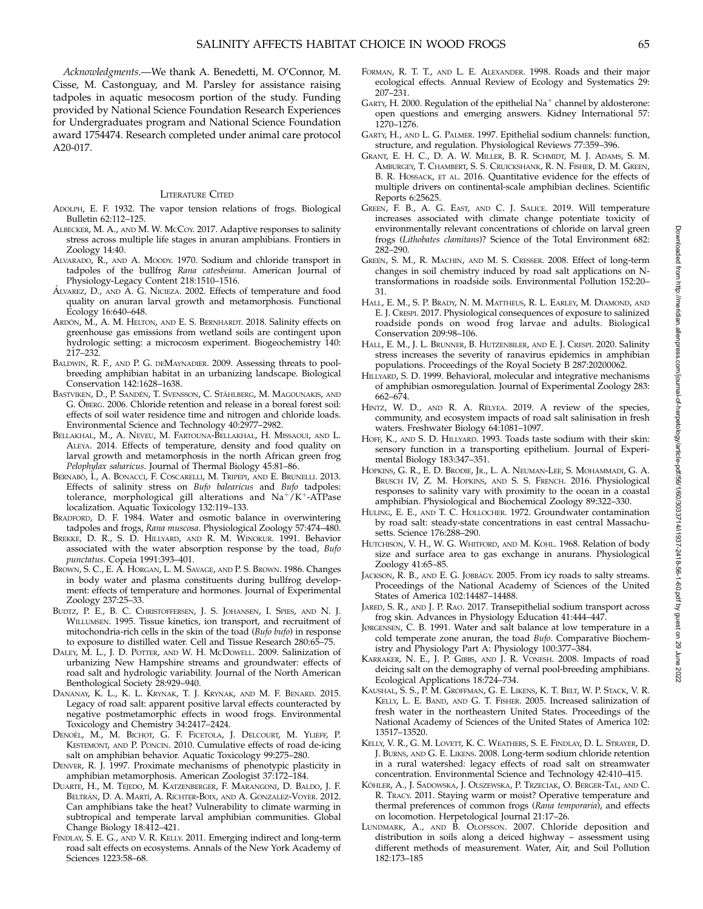Acknowledgments.—We thank A. Benedetti, M. O'Connor, M. Cisse, M. Castonguay, and M. Parsley for assistance raising tadpoles in aquatic mesocosm portion of the study. Funding provided by National Science Foundation Research Experiences for Undergraduates program and National Science Foundation award 1754474. Research completed under animal care protocol A20-017.

### LITERATURE CITED

- ADOLPH, E. F. 1932. The vapor tension relations of frogs. Biological Bulletin 62:112–125.
- ALBECKER, M. A., AND M. W. MCCOY. 2017. Adaptive responses to salinity stress across multiple life stages in anuran amphibians. Frontiers in Zoology 14:40.
- ALVARADO, R., AND A. MOODY. 1970. Sodium and chloride transport in tadpoles of the bullfrog Rana catesbeiana. American Journal of Physiology-Legacy Content 218:1510–1516.
- ÁLVAREZ, D., AND A. G. NICIEZA. 2002. Effects of temperature and food quality on anuran larval growth and metamorphosis. Functional Ecology 16:640–648.
- ARDÓN, M., A. M. HELTON, AND E. S. BERNHARDT. 2018. Salinity effects on greenhouse gas emissions from wetland soils are contingent upon hydrologic setting: a microcosm experiment. Biogeochemistry 140: 217–232.
- BALDWIN, R. F., AND P. G. DEMAYNADIER. 2009. Assessing threats to poolbreeding amphibian habitat in an urbanizing landscape. Biological Conservation 142:1628–1638.
- BASTVIKEN, D., P. SANDÉN, T. SVENSSON, C. STÅHLBERG, M. MAGOUNAKIS, AND G. ÖBERG. 2006. Chloride retention and release in a boreal forest soil: effects of soil water residence time and nitrogen and chloride loads. Environmental Science and Technology 40:2977–2982.
- BELLAKHAL, M., A. NEVEU, M. FARTOUNA-BELLAKHAL, H. MISSAOUI, AND L. ALEYA. 2014. Effects of temperature, density and food quality on larval growth and metamorphosis in the north African green frog Pelophylax saharicus. Journal of Thermal Biology 45:81–86.
- BERNABO, I., A. BONACCI, F. COSCARELLI, M. TRIPEPI, AND E. BRUNELLI. 2013. Effects of salinity stress on Bufo balearicus and Bufo tadpoles: tolerance, morphological gill alterations and  $Na^+/K^+$ -ATPase localization. Aquatic Toxicology 132:119–133.
- BRADFORD, D. F. 1984. Water and osmotic balance in overwintering tadpoles and frogs, Rana muscosa. Physiological Zoology 57:474-480.
- BREKKE, D. R., S. D. HILLYARD, AND R. M. WINOKUR. 1991. Behavior associated with the water absorption response by the toad, Bufo punctatus. Copeia 1991:393–401.
- BROWN, S. C., E. A. HORGAN, L. M. SAVAGE, AND P. S. BROWN. 1986. Changes in body water and plasma constituents during bullfrog development: effects of temperature and hormones. Journal of Experimental Zoology 237:25–33.
- BUDTZ, P. E., B. C. CHRISTOFFERSEN, J. S. JOHANSEN, I. SPIES, AND N. J. WILLUMSEN. 1995. Tissue kinetics, ion transport, and recruitment of mitochondria-rich cells in the skin of the toad (Bufo bufo) in response to exposure to distilled water. Cell and Tissue Research 280:65–75.
- DALEY, M. L., J. D. POTTER, AND W. H. McDOWELL. 2009. Salinization of urbanizing New Hampshire streams and groundwater: effects of road salt and hydrologic variability. Journal of the North American Benthological Society 28:929–940.
- DANANAY, K. L., K. L. KRYNAK, T. J. KRYNAK, AND M. F. BENARD. 2015. Legacy of road salt: apparent positive larval effects counteracted by negative postmetamorphic effects in wood frogs. Environmental Toxicology and Chemistry 34:2417–2424.
- DENOËL, M., M. BICHOT, G. F. FICETOLA, J. DELCOURT, M. YLIEFF, P. KESTEMONT, AND P. PONCIN. 2010. Cumulative effects of road de-icing salt on amphibian behavior. Aquatic Toxicology 99:275–280.
- DENVER, R. J. 1997. Proximate mechanisms of phenotypic plasticity in amphibian metamorphosis. American Zoologist 37:172–184.
- DUARTE, H., M. TEJEDO, M. KATZENBERGER, F. MARANGONI, D. BALDO, J. F. BELTRÁN, D. A. MARTÍ, A. RICHTER-BOIX, AND A. GONZALEZ-VOYER. 2012. Can amphibians take the heat? Vulnerability to climate warming in subtropical and temperate larval amphibian communities. Global Change Biology 18:412–421.
- FINDLAY, S. E. G., AND V. R. KELLY. 2011. Emerging indirect and long-term road salt effects on ecosystems. Annals of the New York Academy of Sciences 1223:58–68.
- FORMAN, R. T. T., AND L. E. ALEXANDER. 1998. Roads and their major ecological effects. Annual Review of Ecology and Systematics 29: 207–231.
- GARTY, H. 2000. Regulation of the epithelial  $Na<sup>+</sup>$  channel by aldosterone: open questions and emerging answers. Kidney International 57: 1270–1276.
- GARTY, H., AND L. G. PALMER. 1997. Epithelial sodium channels: function, structure, and regulation. Physiological Reviews 77:359–396.
- GRANT, E. H. C., D. A. W. MILLER, B. R. SCHMIDT, M. J. ADAMS, S. M. AMBURGEY, T. CHAMBERT, S. S. CRUICKSHANK, R. N. FISHER, D. M. GREEN, B. R. HOSSACK, ET AL. 2016. Quantitative evidence for the effects of multiple drivers on continental-scale amphibian declines. Scientific Reports 6:25625.
- GREEN, F. B., A. G. EAST, AND C. J. SALICE. 2019. Will temperature increases associated with climate change potentiate toxicity of environmentally relevant concentrations of chloride on larval green frogs (Lithobates clamitans)? Science of the Total Environment 682: 282–290.
- GREEN, S. M., R. MACHIN, AND M. S. CRESSER. 2008. Effect of long-term changes in soil chemistry induced by road salt applications on Ntransformations in roadside soils. Environmental Pollution 152:20– 31.
- HALL, E. M., S. P. BRADY, N. M. MATTHEUS, R. L. EARLEY, M. DIAMOND, AND E. J. CRESPI. 2017. Physiological consequences of exposure to salinized roadside ponds on wood frog larvae and adults. Biological Conservation 209:98–106.
- HALL, E. M., J. L. BRUNNER, B. HUTZENBILER, AND E. J. CRESPI. 2020. Salinity stress increases the severity of ranavirus epidemics in amphibian populations. Proceedings of the Royal Society B 287:20200062.
- HILLYARD, S. D. 1999. Behavioral, molecular and integrative mechanisms of amphibian osmoregulation. Journal of Experimental Zoology 283: 662–674.
- HINTZ, W. D., AND R. A. RELYEA. 2019. A review of the species, community, and ecosystem impacts of road salt salinisation in fresh waters. Freshwater Biology 64:1081–1097.
- HOFF, K., AND S. D. HILLYARD. 1993. Toads taste sodium with their skin: sensory function in a transporting epithelium. Journal of Experimental Biology 183:347–351.
- HOPKINS, G. R., E. D. BRODIE, JR., L. A. NEUMAN-LEE, S. MOHAMMADI, G. A. BRUSCH IV, Z. M. HOPKINS, AND S. S. FRENCH. 2016. Physiological responses to salinity vary with proximity to the ocean in a coastal amphibian. Physiological and Biochemical Zoology 89:322–330.
- HULING, E. E., AND T. C. HOLLOCHER. 1972. Groundwater contamination by road salt: steady-state concentrations in east central Massachusetts. Science 176:288–290.
- HUTCHISON, V. H., W. G. WHITFORD, AND M. KOHL. 1968. Relation of body size and surface area to gas exchange in anurans. Physiological Zoology 41:65–85.
- JACKSON, R. B., AND E. G. JOBBÁGY. 2005. From icy roads to salty streams. Proceedings of the National Academy of Sciences of the United States of America 102:14487–14488.
- JARED, S. R., AND J. P. RAO. 2017. Transepithelial sodium transport across frog skin. Advances in Physiology Education 41:444–447.
- JØRGENSEN, C. B. 1991. Water and salt balance at low temperature in a cold temperate zone anuran, the toad Bufo. Comparative Biochemistry and Physiology Part A: Physiology 100:377–384.
- KARRAKER, N. E., J. P. GIBBS, AND J. R. VONESH. 2008. Impacts of road deicing salt on the demography of vernal pool-breeding amphibians. Ecological Applications 18:724–734.
- KAUSHAL, S. S., P. M. GROFFMAN, G. E. LIKENS, K. T. BELT, W. P. STACK, V. R. KELLY, L. E. BAND, AND G. T. FISHER. 2005. Increased salinization of fresh water in the northeastern United States. Proceedings of the National Academy of Sciences of the United States of America 102: 13517–13520.
- KELLY, V. R., G. M. LOVETT, K. C. WEATHERS, S. E. FINDLAY, D. L. STRAYER, D. J. BURNS, AND G. E. LIKENS. 2008. Long-term sodium chloride retention in a rural watershed: legacy effects of road salt on streamwater concentration. Environmental Science and Technology 42:410–415.
- KÖHLER, A., J. SADOWSKA, J. OLSZEWSKA, P. TRZECIAK, O. BERGER-TAL, AND C. R. TRACY. 2011. Staying warm or moist? Operative temperature and thermal preferences of common frogs (Rana temporaria), and effects on locomotion. Herpetological Journal 21:17–26.
- LUNDMARK, A., AND B. OLOFSSON. 2007. Chloride deposition and distribution in soils along a deiced highway – assessment using different methods of measurement. Water, Air, and Soil Pollution 182:173–185